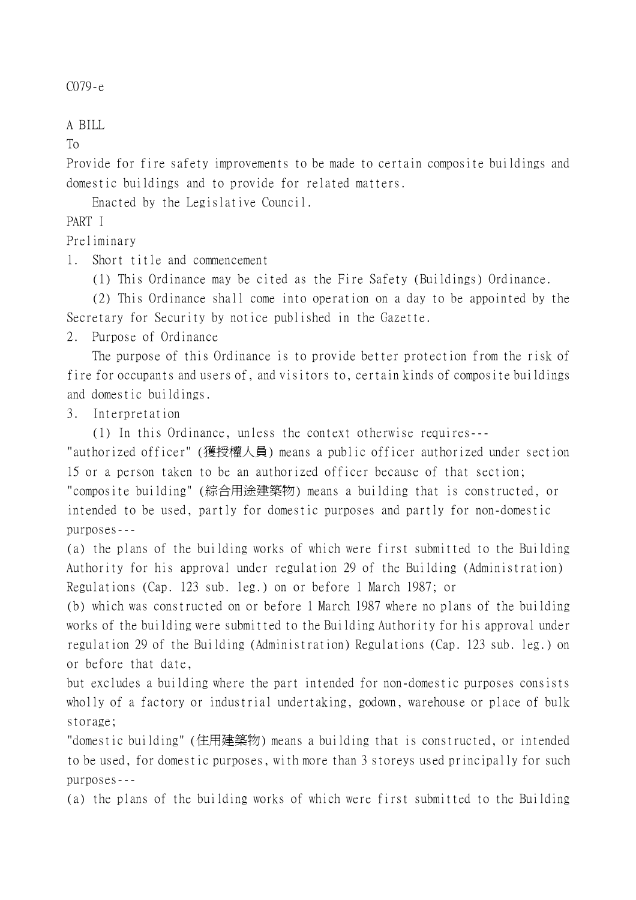```
C079-e
```
## A BILL

To

Provide for fire safety improvements to be made to certain composite buildings and domestic buildings and to provide for related matters.

Enacted by the Legislative Council.

PART I

Preliminary

1. Short title and commencement

(1) This Ordinance may be cited as the Fire Safety (Buildings) Ordinance.

(2) This Ordinance shall come into operation on a day to be appointed by the Secretary for Security by notice published in the Gazette.

2. Purpose of Ordinance

The purpose of this Ordinance is to provide better protection from the risk of fire for occupants and users of, and visitors to, certain kinds of composite buildings and domestic buildings.

3. Interpretation

(1) In this Ordinance, unless the context otherwise requires---

"authorized officer" (獲授權㆟員) means a public officer authorized under section 15 or a person taken to be an authorized officer because of that section; "composite building" (綜合用途建築物) means a building that is constructed, or intended to be used, partly for domestic purposes and partly for non-domestic purposes---

(a) the plans of the building works of which were first submitted to the Building Authority for his approval under regulation 29 of the Building (Administration) Regulations (Cap. 123 sub. leg.) on or before 1 March 1987; or

(b) which was constructed on or before 1 March 1987 where no plans of the building works of the building were submitted to the Building Authority for his approval under regulation 29 of the Building (Administration) Regulations (Cap. 123 sub. leg.) on or before that date,

but excludes a building where the part intended for non-domestic purposes consists wholly of a factory or industrial undertaking, godown, warehouse or place of bulk storage;

"domestic building" (住用建築物) means a building that is constructed, or intended to be used, for domestic purposes, with more than 3 storeys used principally for such purposes---

(a) the plans of the building works of which were first submitted to the Building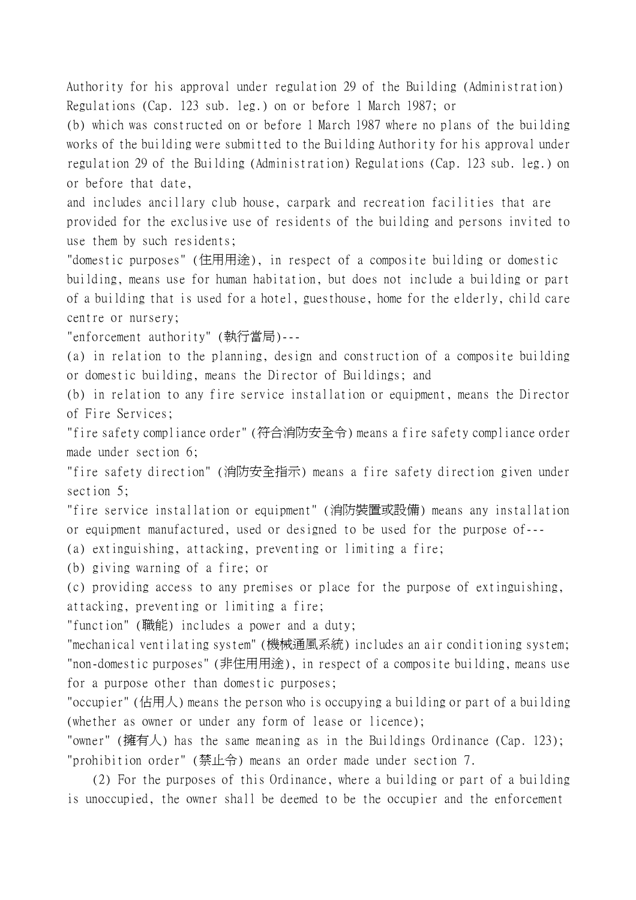Authority for his approval under regulation 29 of the Building (Administration) Regulations (Cap. 123 sub. leg.) on or before 1 March 1987; or

(b) which was constructed on or before 1 March 1987 where no plans of the building works of the building were submitted to the Building Authority for his approval under regulation 29 of the Building (Administration) Regulations (Cap. 123 sub. leg.) on or before that date,

and includes ancillary club house, carpark and recreation facilities that are provided for the exclusive use of residents of the building and persons invited to use them by such residents;

"domestic purposes" (住用用途), in respect of a composite building or domestic building, means use for human habitation, but does not include a building or part of a building that is used for a hotel, guesthouse, home for the elderly, child care centre or nursery;

"enforcement authority" (執行當局)---

(a) in relation to the planning, design and construction of a composite building or domestic building, means the Director of Buildings; and

(b) in relation to any fire service installation or equipment, means the Director of Fire Services;

"fire safety compliance order" (符合消防安全令) means a fire safety compliance order made under section 6;

"fire safety direction" (消防安全指示) means a fire safety direction given under section 5;

"fire service installation or equipment" (消防裝置或設備) means any installation or equipment manufactured, used or designed to be used for the purpose of---

(a) extinguishing, attacking, preventing or limiting a fire;

(b) giving warning of a fire; or

(c) providing access to any premises or place for the purpose of extinguishing, attacking, preventing or limiting a fire;

"function" (職能) includes a power and a duty;

"mechanical ventilating system" (機械通風系統) includes an air conditioning system; "non-domestic purposes" (非住用用途), in respect of a composite building, means use for a purpose other than domestic purposes;

"occupier" (佔用㆟) means the person who is occupying a building or part of a building (whether as owner or under any form of lease or licence);

"owner" (擁有人) has the same meaning as in the Buildings Ordinance (Cap. 123); "prohibition order" (禁止令) means an order made under section 7.

(2) For the purposes of this Ordinance, where a building or part of a building is unoccupied, the owner shall be deemed to be the occupier and the enforcement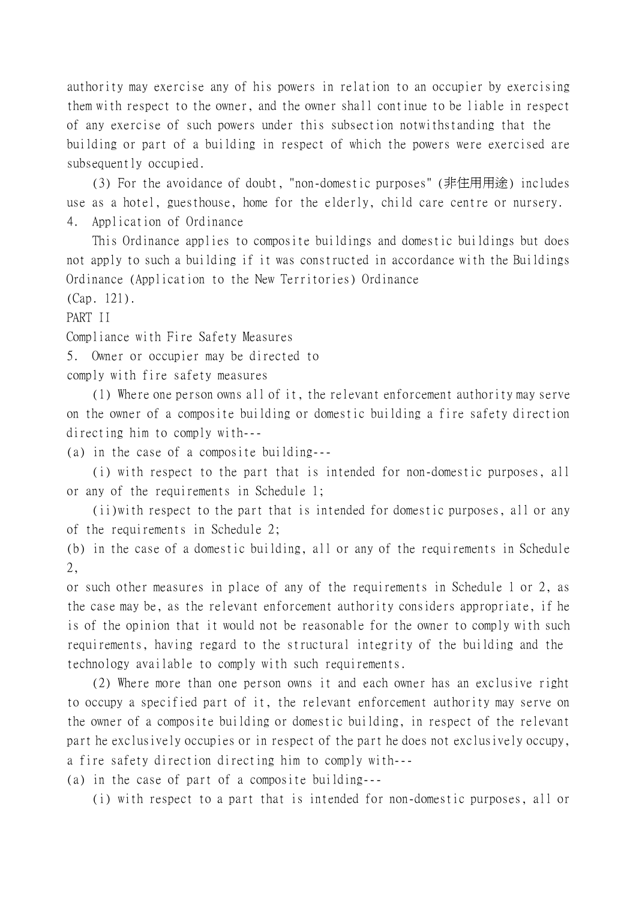authority may exercise any of his powers in relation to an occupier by exercising them with respect to the owner, and the owner shall continue to be liable in respect of any exercise of such powers under this subsection notwithstanding that the building or part of a building in respect of which the powers were exercised are subsequently occupied.

(3) For the avoidance of doubt, "non-domestic purposes" (非住用用途) includes use as a hotel, guesthouse, home for the elderly, child care centre or nursery. 4. Application of Ordinance

This Ordinance applies to composite buildings and domestic buildings but does not apply to such a building if it was constructed in accordance with the Buildings Ordinance (Application to the New Territories) Ordinance

(Cap. 121).

PART II

Compliance with Fire Safety Measures

5. Owner or occupier may be directed to

comply with fire safety measures

(1) Where one person owns all of it, the relevant enforcement authority may serve on the owner of a composite building or domestic building a fire safety direction directing him to comply with---

(a) in the case of a composite building---

(i) with respect to the part that is intended for non-domestic purposes, all or any of the requirements in Schedule 1;

(ii)with respect to the part that is intended for domestic purposes, all or any of the requirements in Schedule 2;

(b) in the case of a domestic building, all or any of the requirements in Schedule 2,

or such other measures in place of any of the requirements in Schedule 1 or 2, as the case may be, as the relevant enforcement authority considers appropriate, if he is of the opinion that it would not be reasonable for the owner to comply with such requirements, having regard to the structural integrity of the building and the technology available to comply with such requirements.

(2) Where more than one person owns it and each owner has an exclusive right to occupy a specified part of it, the relevant enforcement authority may serve on the owner of a composite building or domestic building, in respect of the relevant part he exclusively occupies or in respect of the part he does not exclusively occupy, a fire safety direction directing him to comply with---

(a) in the case of part of a composite building---

(i) with respect to a part that is intended for non-domestic purposes, all or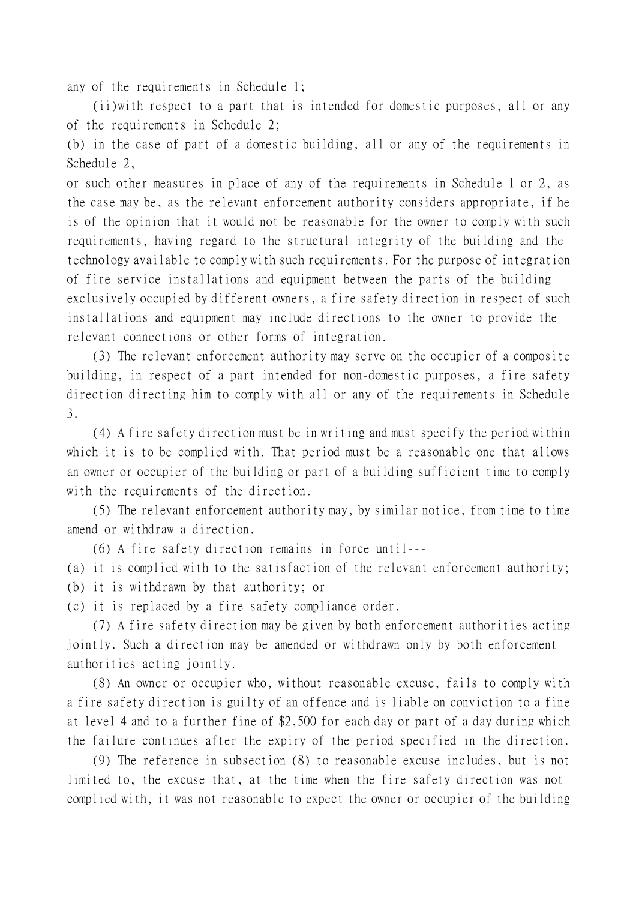any of the requirements in Schedule 1;

(ii)with respect to a part that is intended for domestic purposes, all or any of the requirements in Schedule 2;

(b) in the case of part of a domestic building, all or any of the requirements in Schedule 2,

or such other measures in place of any of the requirements in Schedule 1 or 2, as the case may be, as the relevant enforcement authority considers appropriate, if he is of the opinion that it would not be reasonable for the owner to comply with such requirements, having regard to the structural integrity of the building and the technology available to comply with such requirements. For the purpose of integration of fire service installations and equipment between the parts of the building exclusively occupied by different owners, a fire safety direction in respect of such installations and equipment may include directions to the owner to provide the relevant connections or other forms of integration.

(3) The relevant enforcement authority may serve on the occupier of a composite building, in respect of a part intended for non-domestic purposes, a fire safety direction directing him to comply with all or any of the requirements in Schedule 3.

(4) A fire safety direction must be in writing and must specify the period within which it is to be complied with. That period must be a reasonable one that allows an owner or occupier of the building or part of a building sufficient time to comply with the requirements of the direction.

(5) The relevant enforcement authority may, by similar notice, from time to time amend or withdraw a direction.

(6) A fire safety direction remains in force until---

(a) it is complied with to the satisfaction of the relevant enforcement authority; (b) it is withdrawn by that authority; or

(c) it is replaced by a fire safety compliance order.

(7) A fire safety direction may be given by both enforcement authorities acting jointly. Such a direction may be amended or withdrawn only by both enforcement authorities acting jointly.

(8) An owner or occupier who, without reasonable excuse, fails to comply with a fire safety direction is guilty of an offence and is liable on conviction to a fine at level 4 and to a further fine of \$2,500 for each day or part of a day during which the failure continues after the expiry of the period specified in the direction.

(9) The reference in subsection (8) to reasonable excuse includes, but is not limited to, the excuse that, at the time when the fire safety direction was not complied with, it was not reasonable to expect the owner or occupier of the building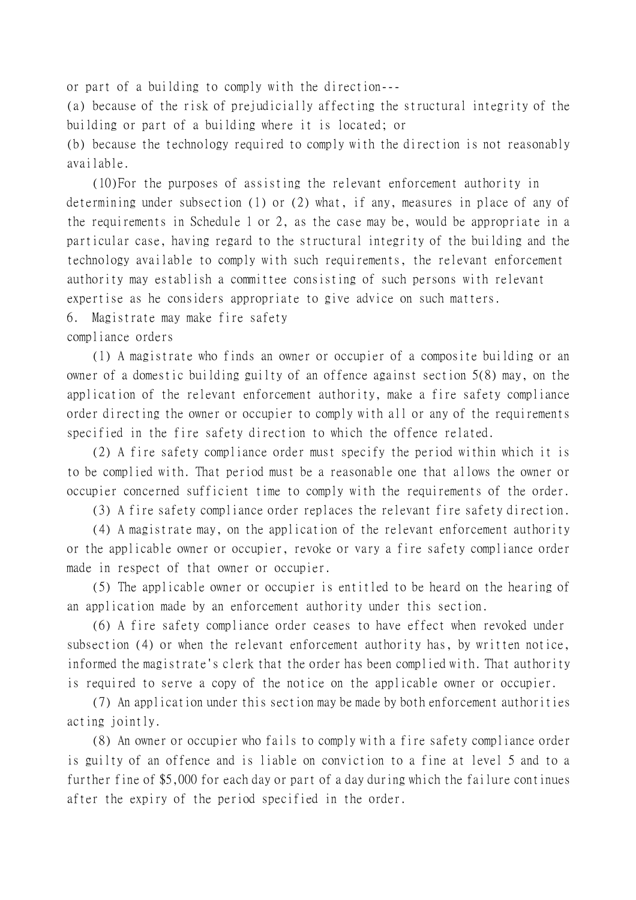or part of a building to comply with the direction---

(a) because of the risk of prejudicially affecting the structural integrity of the building or part of a building where it is located; or

(b) because the technology required to comply with the direction is not reasonably available.

(10)For the purposes of assisting the relevant enforcement authority in determining under subsection (1) or (2) what, if any, measures in place of any of the requirements in Schedule 1 or 2, as the case may be, would be appropriate in a particular case, having regard to the structural integrity of the building and the technology available to comply with such requirements, the relevant enforcement authority may establish a committee consisting of such persons with relevant expertise as he considers appropriate to give advice on such matters.

6. Magistrate may make fire safety

compliance orders

(1) A magistrate who finds an owner or occupier of a composite building or an owner of a domestic building guilty of an offence against section 5(8) may, on the application of the relevant enforcement authority, make a fire safety compliance order directing the owner or occupier to comply with all or any of the requirements specified in the fire safety direction to which the offence related.

(2) A fire safety compliance order must specify the period within which it is to be complied with. That period must be a reasonable one that allows the owner or occupier concerned sufficient time to comply with the requirements of the order.

(3) A fire safety compliance order replaces the relevant fire safety direction.

(4) A magistrate may, on the application of the relevant enforcement authority or the applicable owner or occupier, revoke or vary a fire safety compliance order made in respect of that owner or occupier.

(5) The applicable owner or occupier is entitled to be heard on the hearing of an application made by an enforcement authority under this section.

(6) A fire safety compliance order ceases to have effect when revoked under subsection (4) or when the relevant enforcement authority has, by written notice, informed the magistrate's clerk that the order has been complied with. That authority is required to serve a copy of the notice on the applicable owner or occupier.

(7) An application under this section may be made by both enforcement authorities acting jointly.

(8) An owner or occupier who fails to comply with a fire safety compliance order is guilty of an offence and is liable on conviction to a fine at level 5 and to a further fine of \$5,000 for each day or part of a day during which the failure continues after the expiry of the period specified in the order.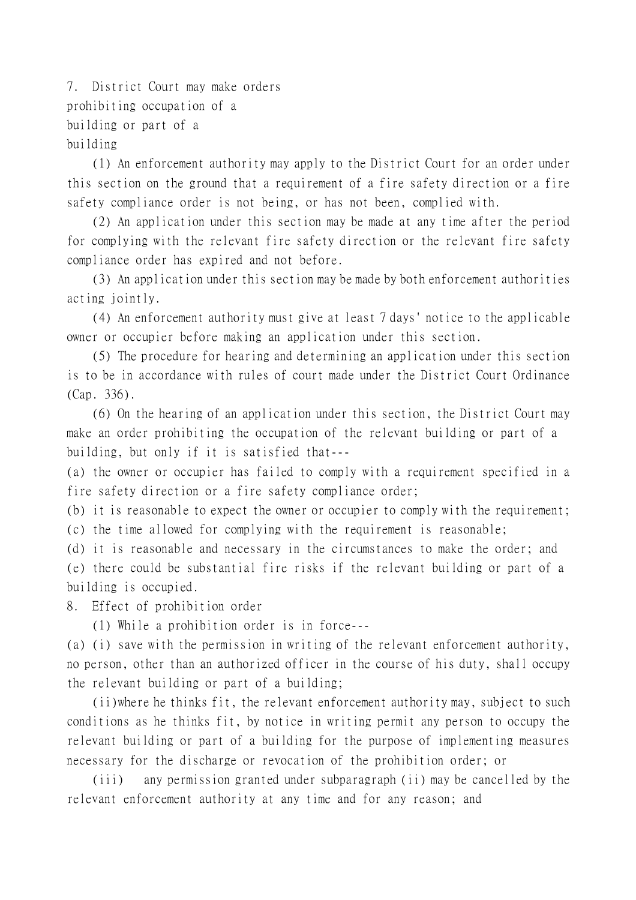7. District Court may make orders prohibiting occupation of a building or part of a building

(1) An enforcement authority may apply to the District Court for an order under this section on the ground that a requirement of a fire safety direction or a fire safety compliance order is not being, or has not been, complied with.

(2) An application under this section may be made at any time after the period for complying with the relevant fire safety direction or the relevant fire safety compliance order has expired and not before.

(3) An application under this section may be made by both enforcement authorities acting jointly.

(4) An enforcement authority must give at least 7 days' notice to the applicable owner or occupier before making an application under this section.

(5) The procedure for hearing and determining an application under this section is to be in accordance with rules of court made under the District Court Ordinance (Cap. 336).

(6) On the hearing of an application under this section, the District Court may make an order prohibiting the occupation of the relevant building or part of a building, but only if it is satisfied that---

(a) the owner or occupier has failed to comply with a requirement specified in a fire safety direction or a fire safety compliance order;

(b) it is reasonable to expect the owner or occupier to comply with the requirement; (c) the time allowed for complying with the requirement is reasonable;

(d) it is reasonable and necessary in the circumstances to make the order; and (e) there could be substantial fire risks if the relevant building or part of a building is occupied.

8. Effect of prohibition order

(1) While a prohibition order is in force---

(a) (i) save with the permission in writing of the relevant enforcement authority, no person, other than an authorized officer in the course of his duty, shall occupy the relevant building or part of a building;

(ii)where he thinks fit, the relevant enforcement authority may, subject to such conditions as he thinks fit, by notice in writing permit any person to occupy the relevant building or part of a building for the purpose of implementing measures necessary for the discharge or revocation of the prohibition order; or

(iii) any permission granted under subparagraph (ii) may be cancelled by the relevant enforcement authority at any time and for any reason; and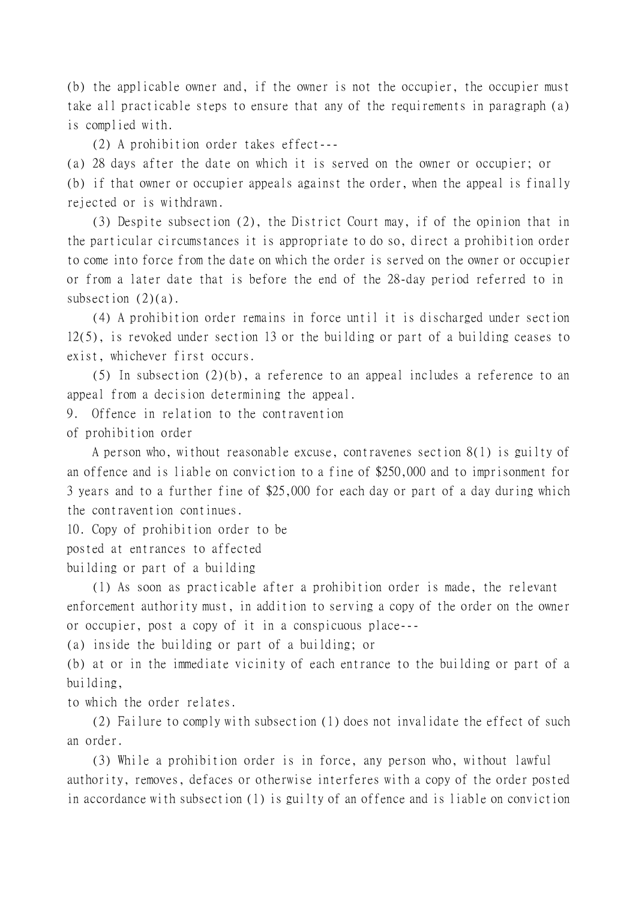(b) the applicable owner and, if the owner is not the occupier, the occupier must take all practicable steps to ensure that any of the requirements in paragraph (a) is complied with.

(2) A prohibition order takes effect---

(a) 28 days after the date on which it is served on the owner or occupier; or (b) if that owner or occupier appeals against the order, when the appeal is finally rejected or is withdrawn.

(3) Despite subsection (2), the District Court may, if of the opinion that in the particular circumstances it is appropriate to do so, direct a prohibition order to come into force from the date on which the order is served on the owner or occupier or from a later date that is before the end of the 28-day period referred to in subsection  $(2)(a)$ .

(4) A prohibition order remains in force until it is discharged under section 12(5), is revoked under section 13 or the building or part of a building ceases to exist, whichever first occurs.

(5) In subsection (2)(b), a reference to an appeal includes a reference to an appeal from a decision determining the appeal.

9. Offence in relation to the contravention

of prohibition order

A person who, without reasonable excuse, contravenes section 8(1) is guilty of an offence and is liable on conviction to a fine of \$250,000 and to imprisonment for 3 years and to a further fine of \$25,000 for each day or part of a day during which the contravention continues.

10. Copy of prohibition order to be

posted at entrances to affected

building or part of a building

(1) As soon as practicable after a prohibition order is made, the relevant enforcement authority must, in addition to serving a copy of the order on the owner or occupier, post a copy of it in a conspicuous place---

(a) inside the building or part of a building; or

(b) at or in the immediate vicinity of each entrance to the building or part of a building,

to which the order relates.

(2) Failure to comply with subsection (1) does not invalidate the effect of such an order.

(3) While a prohibition order is in force, any person who, without lawful authority, removes, defaces or otherwise interferes with a copy of the order posted in accordance with subsection (1) is guilty of an offence and is liable on conviction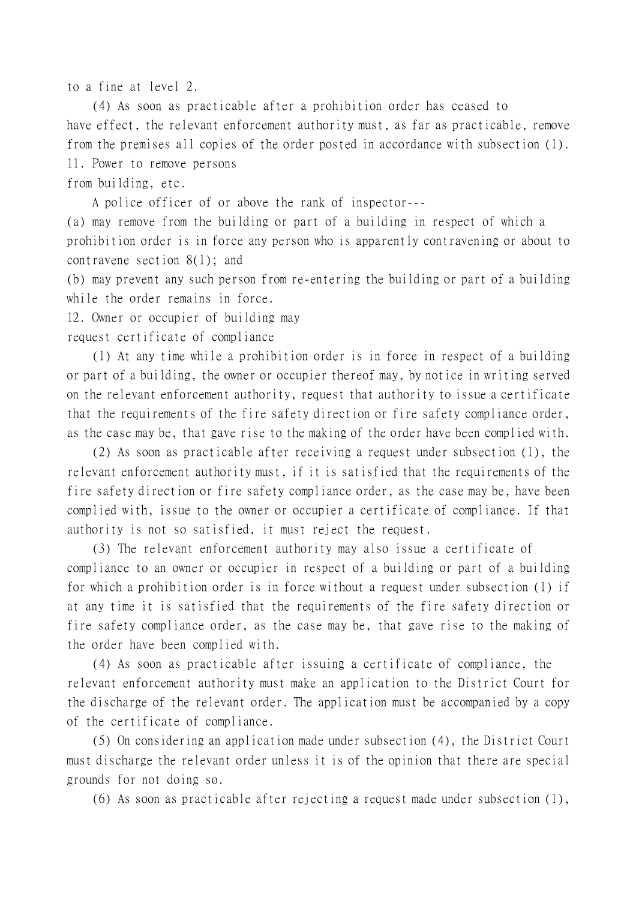to a fine at level 2.

(4) As soon as practicable after a prohibition order has ceased to have effect, the relevant enforcement authority must, as far as practicable, remove from the premises all copies of the order posted in accordance with subsection (1). 11. Power to remove persons from building, etc.

A police officer of or above the rank of inspector---

(a) may remove from the building or part of a building in respect of which a prohibition order is in force any person who is apparently contravening or about to contravene section 8(1); and

(b) may prevent any such person from re-entering the building or part of a building while the order remains in force.

12. Owner or occupier of building may

request certificate of compliance

(1) At any time while a prohibition order is in force in respect of a building or part of a building, the owner or occupier thereof may, by notice in writing served on the relevant enforcement authority, request that authority to issue a certificate that the requirements of the fire safety direction or fire safety compliance order, as the case may be, that gave rise to the making of the order have been complied with.

(2) As soon as practicable after receiving a request under subsection (1), the relevant enforcement authority must, if it is satisfied that the requirements of the fire safety direction or fire safety compliance order, as the case may be, have been complied with, issue to the owner or occupier a certificate of compliance. If that authority is not so satisfied, it must reject the request.

(3) The relevant enforcement authority may also issue a certificate of compliance to an owner or occupier in respect of a building or part of a building for which a prohibition order is in force without a request under subsection (1) if at any time it is satisfied that the requirements of the fire safety direction or fire safety compliance order, as the case may be, that gave rise to the making of the order have been complied with.

(4) As soon as practicable after issuing a certificate of compliance, the relevant enforcement authority must make an application to the District Court for the discharge of the relevant order. The application must be accompanied by a copy of the certificate of compliance.

(5) On considering an application made under subsection (4), the District Court must discharge the relevant order unless it is of the opinion that there are special grounds for not doing so.

(6) As soon as practicable after rejecting a request made under subsection (1),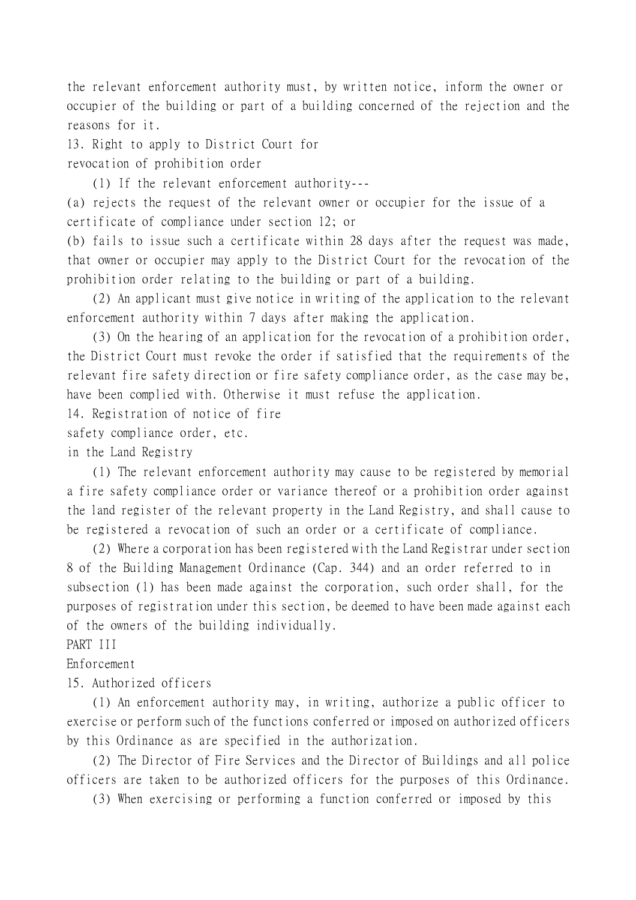the relevant enforcement authority must, by written notice, inform the owner or occupier of the building or part of a building concerned of the rejection and the reasons for it.

13. Right to apply to District Court for revocation of prohibition order

(1) If the relevant enforcement authority---

(a) rejects the request of the relevant owner or occupier for the issue of a certificate of compliance under section 12; or

(b) fails to issue such a certificate within 28 days after the request was made, that owner or occupier may apply to the District Court for the revocation of the prohibition order relating to the building or part of a building.

(2) An applicant must give notice in writing of the application to the relevant enforcement authority within 7 days after making the application.

(3) On the hearing of an application for the revocation of a prohibition order, the District Court must revoke the order if satisfied that the requirements of the relevant fire safety direction or fire safety compliance order, as the case may be, have been complied with. Otherwise it must refuse the application.

14. Registration of notice of fire

safety compliance order, etc.

in the Land Registry

(1) The relevant enforcement authority may cause to be registered by memorial a fire safety compliance order or variance thereof or a prohibition order against the land register of the relevant property in the Land Registry, and shall cause to be registered a revocation of such an order or a certificate of compliance.

(2) Where a corporation has been registered with the Land Registrar under section 8 of the Building Management Ordinance (Cap. 344) and an order referred to in subsection (1) has been made against the corporation, such order shall, for the purposes of registration under this section, be deemed to have been made against each of the owners of the building individually.

PART III

Enforcement

15. Authorized officers

(1) An enforcement authority may, in writing, authorize a public officer to exercise or perform such of the functions conferred or imposed on authorized officers by this Ordinance as are specified in the authorization.

(2) The Director of Fire Services and the Director of Buildings and all police officers are taken to be authorized officers for the purposes of this Ordinance.

(3) When exercising or performing a function conferred or imposed by this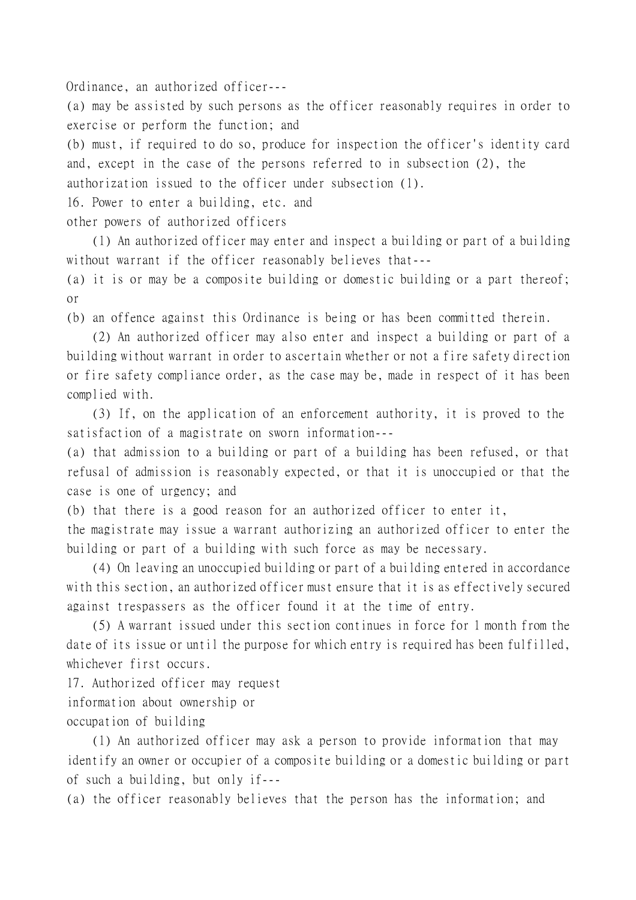Ordinance, an authorized officer---

(a) may be assisted by such persons as the officer reasonably requires in order to exercise or perform the function; and

(b) must, if required to do so, produce for inspection the officer's identity card and, except in the case of the persons referred to in subsection (2), the authorization issued to the officer under subsection (1).

16. Power to enter a building, etc. and

other powers of authorized officers

(1) An authorized officer may enter and inspect a building or part of a building without warrant if the officer reasonably believes that---

(a) it is or may be a composite building or domestic building or a part thereof; or

(b) an offence against this Ordinance is being or has been committed therein.

(2) An authorized officer may also enter and inspect a building or part of a building without warrant in order to ascertain whether or not a fire safety direction or fire safety compliance order, as the case may be, made in respect of it has been complied with.

(3) If, on the application of an enforcement authority, it is proved to the satisfaction of a magistrate on sworn information---

(a) that admission to a building or part of a building has been refused, or that refusal of admission is reasonably expected, or that it is unoccupied or that the case is one of urgency; and

(b) that there is a good reason for an authorized officer to enter it,

the magistrate may issue a warrant authorizing an authorized officer to enter the building or part of a building with such force as may be necessary.

(4) On leaving an unoccupied building or part of a building entered in accordance with this section, an authorized officer must ensure that it is as effectively secured against trespassers as the officer found it at the time of entry.

(5) A warrant issued under this section continues in force for 1 month from the date of its issue or until the purpose for which entry is required has been fulfilled, whichever first occurs.

17. Authorized officer may request

information about ownership or

occupation of building

(1) An authorized officer may ask a person to provide information that may identify an owner or occupier of a composite building or a domestic building or part of such a building, but only if---

(a) the officer reasonably believes that the person has the information; and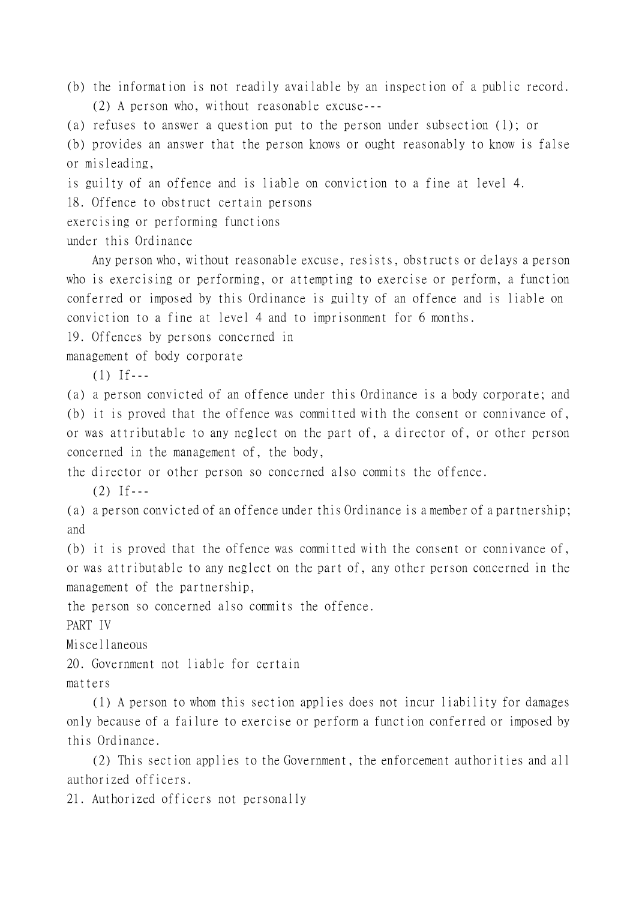(b) the information is not readily available by an inspection of a public record. (2) A person who, without reasonable excuse---

(a) refuses to answer a question put to the person under subsection (1); or (b) provides an answer that the person knows or ought reasonably to know is false or misleading,

is guilty of an offence and is liable on conviction to a fine at level 4.

18. Offence to obstruct certain persons

exercising or performing functions

under this Ordinance

Any person who, without reasonable excuse, resists, obstructs or delays a person who is exercising or performing, or attempting to exercise or perform, a function conferred or imposed by this Ordinance is guilty of an offence and is liable on conviction to a fine at level 4 and to imprisonment for 6 months.

19. Offences by persons concerned in

management of body corporate

 $(1)$  If---

(a) a person convicted of an offence under this Ordinance is a body corporate; and (b) it is proved that the offence was committed with the consent or connivance of, or was attributable to any neglect on the part of, a director of, or other person concerned in the management of, the body,

the director or other person so concerned also commits the offence.

 $(2)$  If---

(a) a person convicted of an offence under this Ordinance is a member of a partnership; and

(b) it is proved that the offence was committed with the consent or connivance of, or was attributable to any neglect on the part of, any other person concerned in the management of the partnership,

the person so concerned also commits the offence.

PART IV

Miscellaneous

20. Government not liable for certain

matters

(1) A person to whom this section applies does not incur liability for damages only because of a failure to exercise or perform a function conferred or imposed by this Ordinance.

(2) This section applies to the Government, the enforcement authorities and all authorized officers.

21. Authorized officers not personally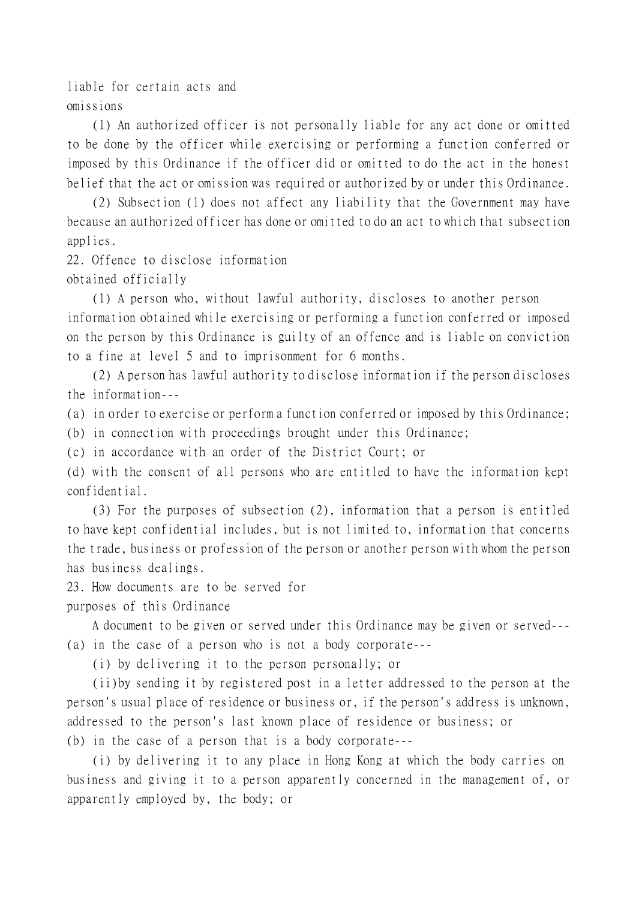liable for certain acts and omissions

(1) An authorized officer is not personally liable for any act done or omitted to be done by the officer while exercising or performing a function conferred or imposed by this Ordinance if the officer did or omitted to do the act in the honest belief that the act or omission was required or authorized by or under this Ordinance.

(2) Subsection (1) does not affect any liability that the Government may have because an authorized officer has done or omitted to do an act to which that subsection applies.

22. Offence to disclose information

obtained officially

(1) A person who, without lawful authority, discloses to another person information obtained while exercising or performing a function conferred or imposed on the person by this Ordinance is guilty of an offence and is liable on conviction to a fine at level 5 and to imprisonment for 6 months.

(2) A person has lawful authority to disclose information if the person discloses the information---

(a) in order to exercise or perform a function conferred or imposed by this Ordinance;

(b) in connection with proceedings brought under this Ordinance;

(c) in accordance with an order of the District Court; or

(d) with the consent of all persons who are entitled to have the information kept confidential.

(3) For the purposes of subsection (2), information that a person is entitled to have kept confidential includes, but is not limited to, information that concerns the trade, business or profession of the person or another person with whom the person has business dealings.

23. How documents are to be served for

purposes of this Ordinance

A document to be given or served under this Ordinance may be given or served--- (a) in the case of a person who is not a body corporate---

(i) by delivering it to the person personally; or

(ii)by sending it by registered post in a letter addressed to the person at the person's usual place of residence or business or, if the person's address is unknown, addressed to the person's last known place of residence or business; or (b) in the case of a person that is a body corporate---

(i) by delivering it to any place in Hong Kong at which the body carries on business and giving it to a person apparently concerned in the management of, or apparently employed by, the body; or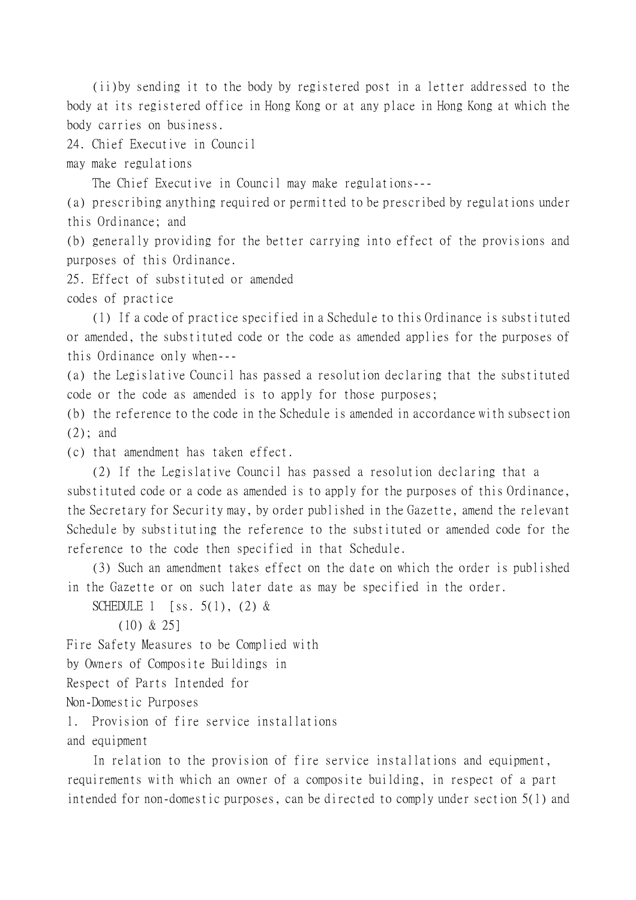(ii)by sending it to the body by registered post in a letter addressed to the body at its registered office in Hong Kong or at any place in Hong Kong at which the body carries on business.

24. Chief Executive in Council

may make regulations

The Chief Executive in Council may make regulations---

(a) prescribing anything required or permitted to be prescribed by regulations under this Ordinance; and

(b) generally providing for the better carrying into effect of the provisions and purposes of this Ordinance.

25. Effect of substituted or amended

codes of practice

(1) If a code of practice specified in a Schedule to this Ordinance is substituted or amended, the substituted code or the code as amended applies for the purposes of this Ordinance only when---

(a) the Legislative Council has passed a resolution declaring that the substituted code or the code as amended is to apply for those purposes;

(b) the reference to the code in the Schedule is amended in accordance with subsection (2); and

(c) that amendment has taken effect.

(2) If the Legislative Council has passed a resolution declaring that a substituted code or a code as amended is to apply for the purposes of this Ordinance, the Secretary for Security may, by order published in the Gazette, amend the relevant Schedule by substituting the reference to the substituted or amended code for the reference to the code then specified in that Schedule.

(3) Such an amendment takes effect on the date on which the order is published in the Gazette or on such later date as may be specified in the order.

```
SCHEDULE 1 [ss. 5(1), (2) &
```

```
(10) & 25]
```
Fire Safety Measures to be Complied with

by Owners of Composite Buildings in

Respect of Parts Intended for

Non-Domestic Purposes

1. Provision of fire service installations

and equipment

In relation to the provision of fire service installations and equipment, requirements with which an owner of a composite building, in respect of a part intended for non-domestic purposes, can be directed to comply under section 5(1) and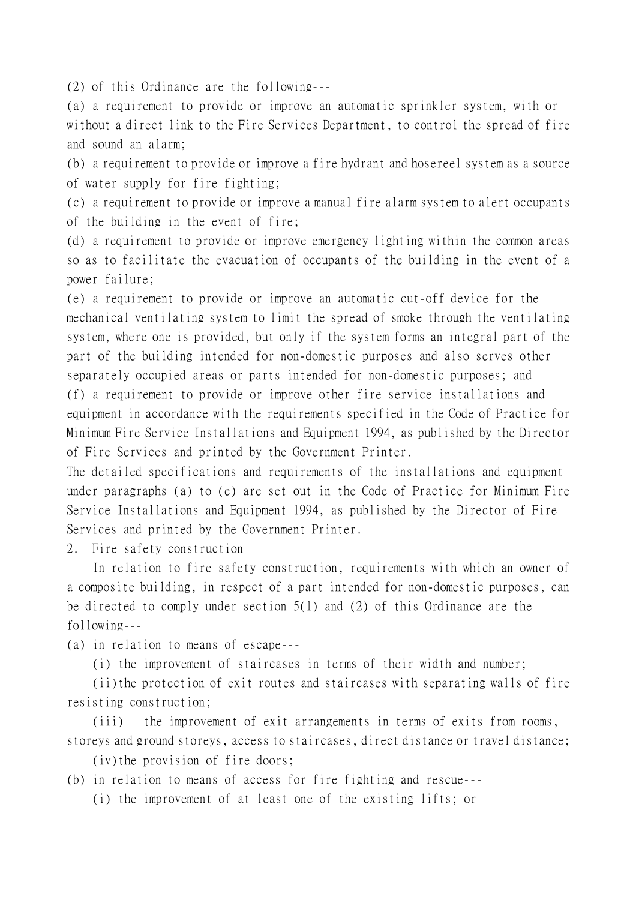(2) of this Ordinance are the following---

(a) a requirement to provide or improve an automatic sprinkler system, with or without a direct link to the Fire Services Department, to control the spread of fire and sound an alarm;

(b) a requirement to provide or improve a fire hydrant and hosereel system as a source of water supply for fire fighting;

(c) a requirement to provide or improve a manual fire alarm system to alert occupants of the building in the event of fire;

(d) a requirement to provide or improve emergency lighting within the common areas so as to facilitate the evacuation of occupants of the building in the event of a power failure;

(e) a requirement to provide or improve an automatic cut-off device for the mechanical ventilating system to limit the spread of smoke through the ventilating system, where one is provided, but only if the system forms an integral part of the part of the building intended for non-domestic purposes and also serves other separately occupied areas or parts intended for non-domestic purposes; and (f) a requirement to provide or improve other fire service installations and equipment in accordance with the requirements specified in the Code of Practice for Minimum Fire Service Installations and Equipment 1994, as published by the Director of Fire Services and printed by the Government Printer.

The detailed specifications and requirements of the installations and equipment under paragraphs (a) to (e) are set out in the Code of Practice for Minimum Fire Service Installations and Equipment 1994, as published by the Director of Fire Services and printed by the Government Printer.

2. Fire safety construction

In relation to fire safety construction, requirements with which an owner of a composite building, in respect of a part intended for non-domestic purposes, can be directed to comply under section 5(1) and (2) of this Ordinance are the following---

(a) in relation to means of escape---

(i) the improvement of staircases in terms of their width and number;

(ii)the protection of exit routes and staircases with separating walls of fire resisting construction;

(iii) the improvement of exit arrangements in terms of exits from rooms, storeys and ground storeys, access to staircases, direct distance or travel distance;

(iv)the provision of fire doors;

(b) in relation to means of access for fire fighting and rescue---

(i) the improvement of at least one of the existing lifts; or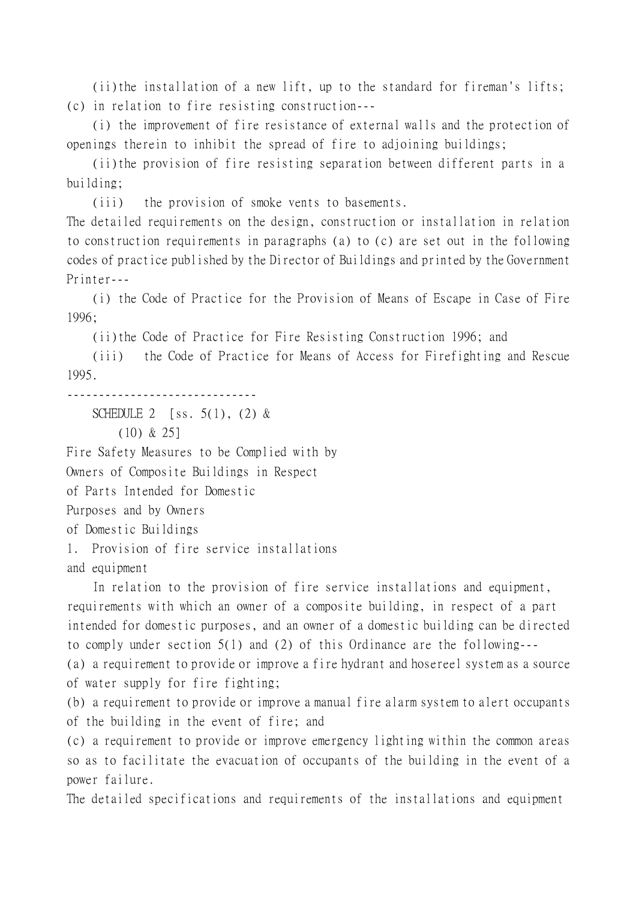(ii)the installation of a new lift, up to the standard for fireman's lifts; (c) in relation to fire resisting construction---

(i) the improvement of fire resistance of external walls and the protection of openings therein to inhibit the spread of fire to adjoining buildings;

(ii)the provision of fire resisting separation between different parts in a building;

(iii) the provision of smoke vents to basements.

The detailed requirements on the design, construction or installation in relation to construction requirements in paragraphs (a) to (c) are set out in the following codes of practice published by the Director of Buildings and printed by the Government Printer---

(i) the Code of Practice for the Provision of Means of Escape in Case of Fire 1996;

(ii)the Code of Practice for Fire Resisting Construction 1996; and

(iii) the Code of Practice for Means of Access for Firefighting and Rescue 1995.

------------------------------

SCHEDULE 2 [ss.  $5(1)$ ,  $(2)$  &

(10) & 25]

Fire Safety Measures to be Complied with by

Owners of Composite Buildings in Respect

of Parts Intended for Domestic

Purposes and by Owners

of Domestic Buildings

1. Provision of fire service installations

and equipment

In relation to the provision of fire service installations and equipment, requirements with which an owner of a composite building, in respect of a part intended for domestic purposes, and an owner of a domestic building can be directed to comply under section 5(1) and (2) of this Ordinance are the following--- (a) a requirement to provide or improve a fire hydrant and hosereel system as a source of water supply for fire fighting;

(b) a requirement to provide or improve a manual fire alarm system to alert occupants of the building in the event of fire; and

(c) a requirement to provide or improve emergency lighting within the common areas so as to facilitate the evacuation of occupants of the building in the event of a power failure.

The detailed specifications and requirements of the installations and equipment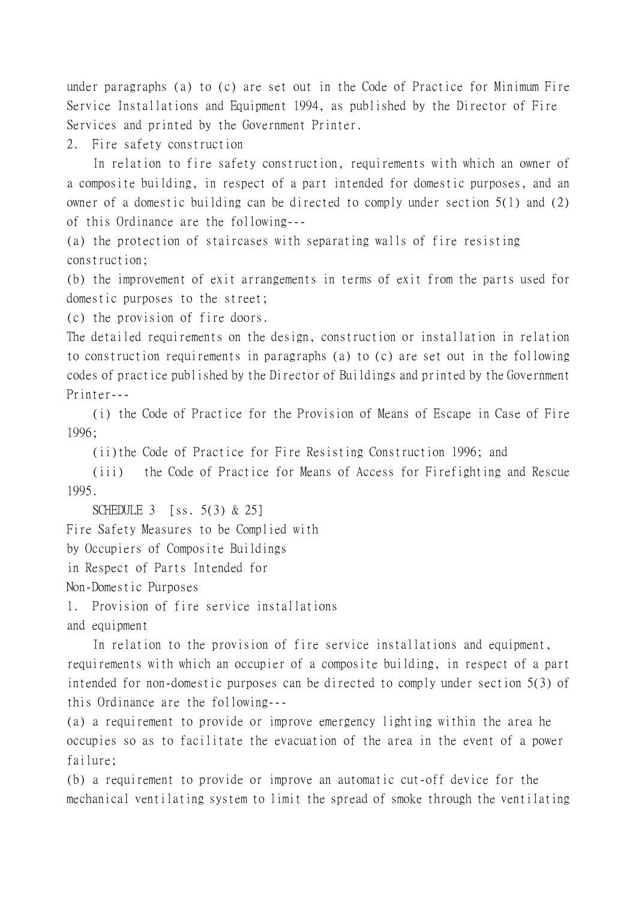under paragraphs (a) to (c) are set out in the Code of Practice for Minimum Fire Service Installations and Equipment 1994, as published by the Director of Fire Services and printed by the Government Printer.

2. Fire safety construction

In relation to fire safety construction, requirements with which an owner of a composite building, in respect of a part intended for domestic purposes, and an owner of a domestic building can be directed to comply under section 5(1) and (2) of this Ordinance are the following---

(a) the protection of staircases with separating walls of fire resisting construction;

(b) the improvement of exit arrangements in terms of exit from the parts used for domestic purposes to the street;

(c) the provision of fire doors.

The detailed requirements on the design, construction or installation in relation to construction requirements in paragraphs (a) to (c) are set out in the following codes of practice published by the Director of Buildings and printed by the Government Printer---

(i) the Code of Practice for the Provision of Means of Escape in Case of Fire 1996;

(ii)the Code of Practice for Fire Resisting Construction 1996; and

(iii) the Code of Practice for Means of Access for Firefighting and Rescue 1995.

SCHEDULE 3 [ss. 5(3) & 25]

Fire Safety Measures to be Complied with

by Occupiers of Composite Buildings

in Respect of Parts Intended for

Non-Domestic Purposes

1. Provision of fire service installations

and equipment

In relation to the provision of fire service installations and equipment, requirements with which an occupier of a composite building, in respect of a part intended for non-domestic purposes can be directed to comply under section 5(3) of this Ordinance are the following---

(a) a requirement to provide or improve emergency lighting within the area he occupies so as to facilitate the evacuation of the area in the event of a power failure;

(b) a requirement to provide or improve an automatic cut-off device for the mechanical ventilating system to limit the spread of smoke through the ventilating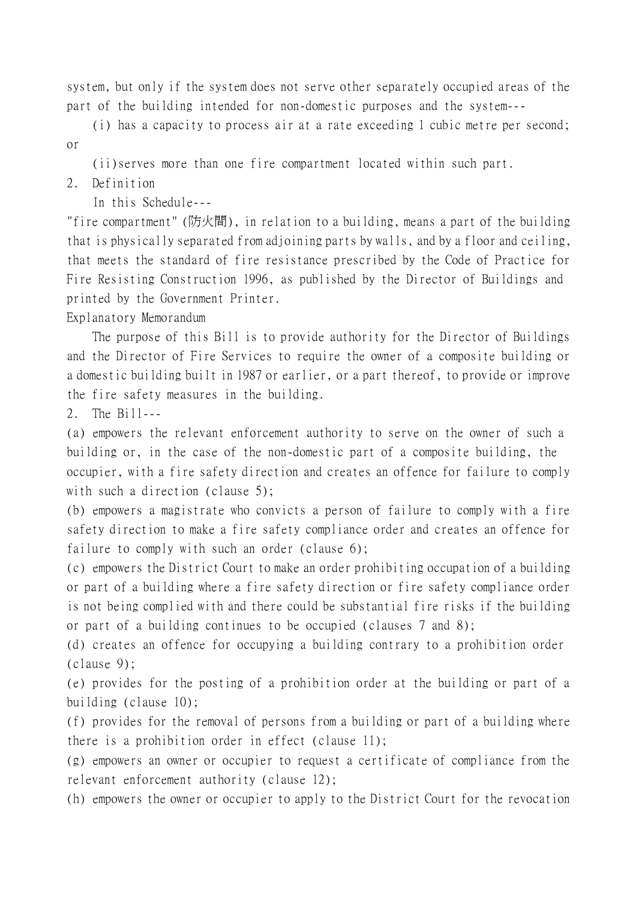system, but only if the system does not serve other separately occupied areas of the part of the building intended for non-domestic purposes and the system---

(i) has a capacity to process air at a rate exceeding 1 cubic metre per second; or

(ii)serves more than one fire compartment located within such part.

2. Definition

In this Schedule---

"fire compartment" (防火間), in relation to a building, means a part of the building that is physically separated from adjoining parts by walls, and by a floor and ceiling, that meets the standard of fire resistance prescribed by the Code of Practice for Fire Resisting Construction 1996, as published by the Director of Buildings and printed by the Government Printer.

Explanatory Memorandum

The purpose of this Bill is to provide authority for the Director of Buildings and the Director of Fire Services to require the owner of a composite building or a domestic building built in 1987 or earlier, or a part thereof, to provide or improve the fire safety measures in the building.

2. The Bill---

(a) empowers the relevant enforcement authority to serve on the owner of such a building or, in the case of the non-domestic part of a composite building, the occupier, with a fire safety direction and creates an offence for failure to comply with such a direction (clause 5);

(b) empowers a magistrate who convicts a person of failure to comply with a fire safety direction to make a fire safety compliance order and creates an offence for failure to comply with such an order (clause 6);

(c) empowers the District Court to make an order prohibiting occupation of a building or part of a building where a fire safety direction or fire safety compliance order is not being complied with and there could be substantial fire risks if the building or part of a building continues to be occupied (clauses 7 and 8);

(d) creates an offence for occupying a building contrary to a prohibition order  $(clause 9)$ ;

(e) provides for the posting of a prohibition order at the building or part of a building (clause 10);

(f) provides for the removal of persons from a building or part of a building where there is a prohibition order in effect (clause 11);

(g) empowers an owner or occupier to request a certificate of compliance from the relevant enforcement authority (clause 12);

(h) empowers the owner or occupier to apply to the District Court for the revocation